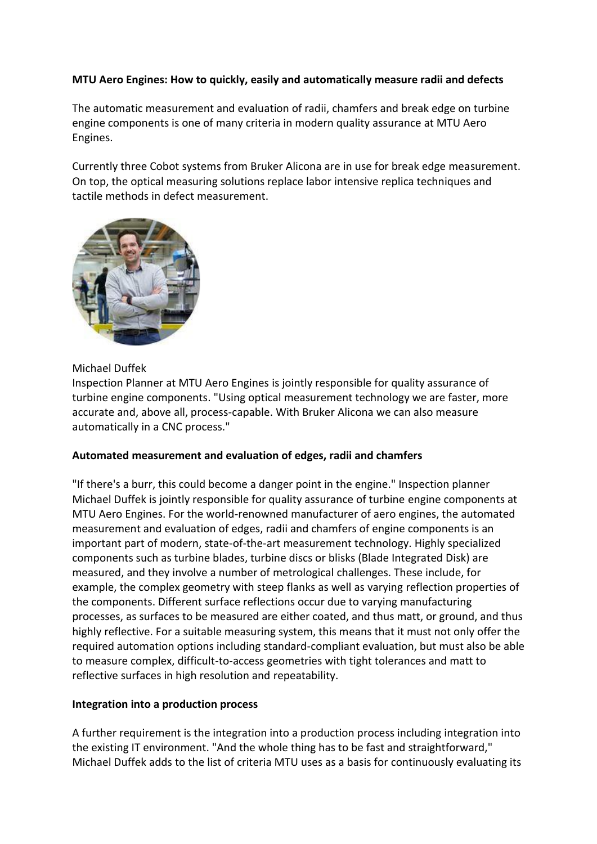# **MTU Aero Engines: How to quickly, easily and automatically measure radii and defects**

The automatic measurement and evaluation of radii, chamfers and break edge on turbine engine components is one of many criteria in modern quality assurance at MTU Aero Engines.

Currently three Cobot systems from Bruker Alicona are in use for break edge measurement. On top, the optical measuring solutions replace labor intensive replica techniques and tactile methods in defect measurement.



### Michael Duffek

Inspection Planner at MTU Aero Engines is jointly responsible for quality assurance of turbine engine components. "Using optical measurement technology we are faster, more accurate and, above all, process-capable. With Bruker Alicona we can also measure automatically in a CNC process."

#### **Automated measurement and evaluation of edges, radii and chamfers**

"If there's a burr, this could become a danger point in the engine." Inspection planner Michael Duffek is jointly responsible for quality assurance of turbine engine components at MTU Aero Engines. For the world-renowned manufacturer of aero engines, the automated measurement and evaluation of edges, radii and chamfers of engine components is an important part of modern, state-of-the-art measurement technology. Highly specialized components such as turbine blades, turbine discs or blisks (Blade Integrated Disk) are measured, and they involve a number of metrological challenges. These include, for example, the complex geometry with steep flanks as well as varying reflection properties of the components. Different surface reflections occur due to varying manufacturing processes, as surfaces to be measured are either coated, and thus matt, or ground, and thus highly reflective. For a suitable measuring system, this means that it must not only offer the required automation options including standard-compliant evaluation, but must also be able to measure complex, difficult-to-access geometries with tight tolerances and matt to reflective surfaces in high resolution and repeatability.

#### **Integration into a production process**

A further requirement is the integration into a production process including integration into the existing IT environment. "And the whole thing has to be fast and straightforward," Michael Duffek adds to the list of criteria MTU uses as a basis for continuously evaluating its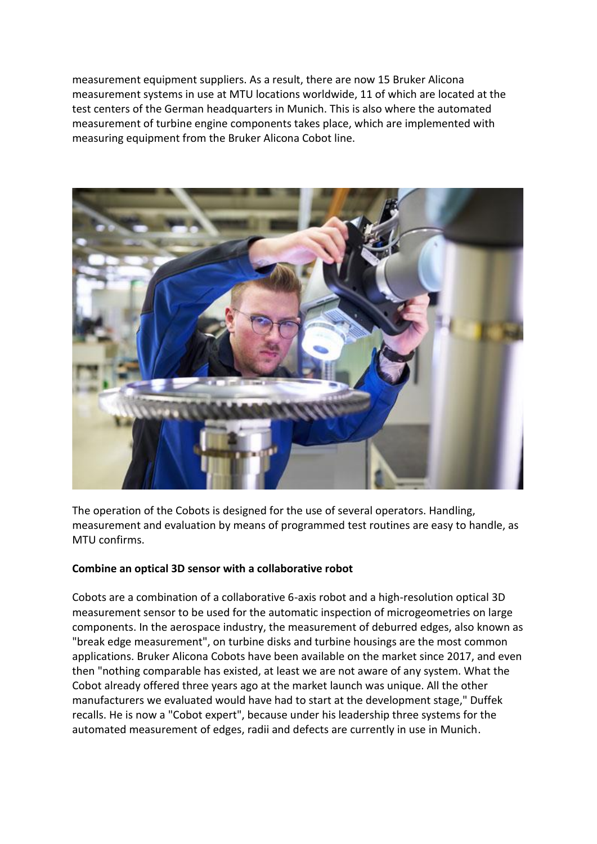measurement equipment suppliers. As a result, there are now 15 Bruker Alicona measurement systems in use at MTU locations worldwide, 11 of which are located at the test centers of the German headquarters in Munich. This is also where the automated measurement of turbine engine components takes place, which are implemented with measuring equipment from the Bruker Alicona Cobot line.



The operation of the Cobots is designed for the use of several operators. Handling, measurement and evaluation by means of programmed test routines are easy to handle, as MTU confirms.

# **Combine an optical 3D sensor with a collaborative robot**

Cobots are a combination of a collaborative 6-axis robot and a high-resolution optical 3D measurement sensor to be used for the automatic inspection of microgeometries on large components. In the aerospace industry, the measurement of deburred edges, also known as "break edge measurement", on turbine disks and turbine housings are the most common applications. Bruker Alicona Cobots have been available on the market since 2017, and even then "nothing comparable has existed, at least we are not aware of any system. What the Cobot already offered three years ago at the market launch was unique. All the other manufacturers we evaluated would have had to start at the development stage," Duffek recalls. He is now a "Cobot expert", because under his leadership three systems for the automated measurement of edges, radii and defects are currently in use in Munich.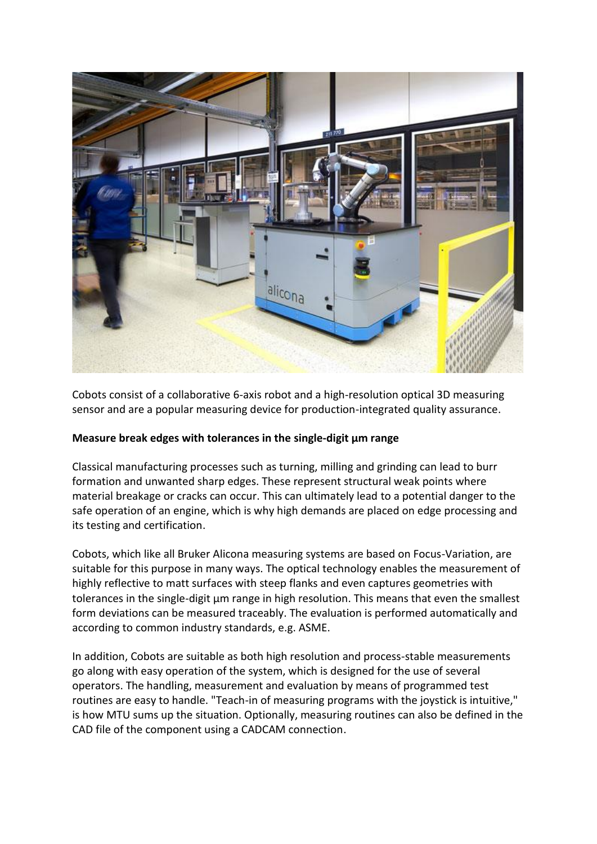

Cobots consist of a collaborative 6-axis robot and a high-resolution optical 3D measuring sensor and are a popular measuring device for production-integrated quality assurance.

# **Measure break edges with tolerances in the single-digit µm range**

Classical manufacturing processes such as turning, milling and grinding can lead to burr formation and unwanted sharp edges. These represent structural weak points where material breakage or cracks can occur. This can ultimately lead to a potential danger to the safe operation of an engine, which is why high demands are placed on edge processing and its testing and certification.

Cobots, which like all Bruker Alicona measuring systems are based on Focus-Variation, are suitable for this purpose in many ways. The optical technology enables the measurement of highly reflective to matt surfaces with steep flanks and even captures geometries with tolerances in the single-digit µm range in high resolution. This means that even the smallest form deviations can be measured traceably. The evaluation is performed automatically and according to common industry standards, e.g. ASME.

In addition, Cobots are suitable as both high resolution and process-stable measurements go along with easy operation of the system, which is designed for the use of several operators. The handling, measurement and evaluation by means of programmed test routines are easy to handle. "Teach-in of measuring programs with the joystick is intuitive," is how MTU sums up the situation. Optionally, measuring routines can also be defined in the CAD file of the component using a CADCAM connection.